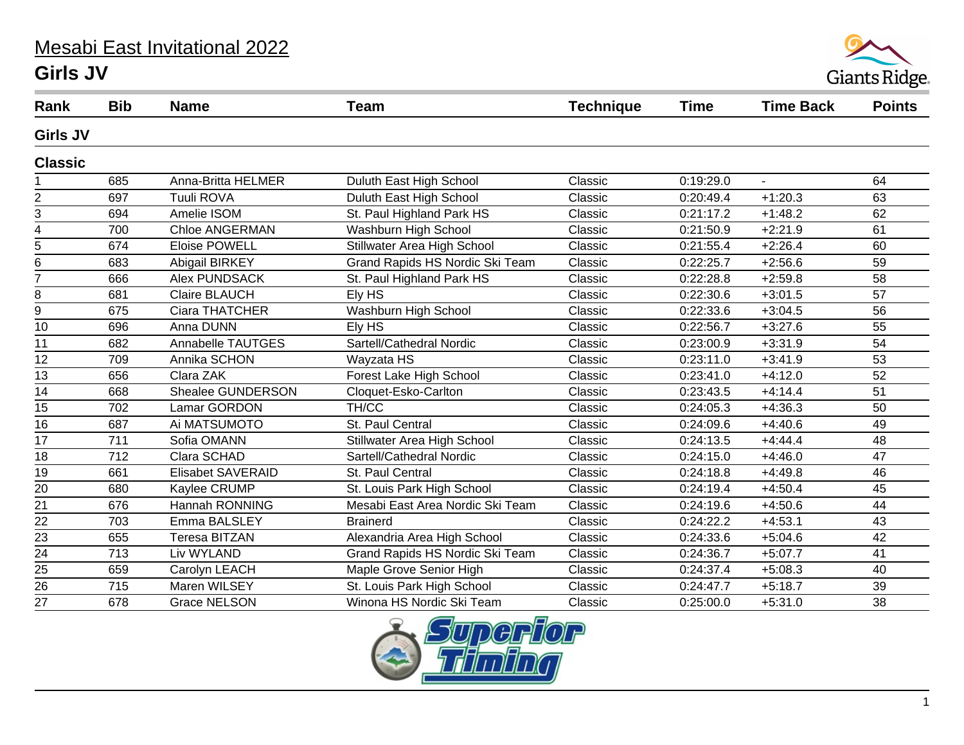## Mesabi East Invitational 2022 **Girls JV**



| Rank            | <b>Bib</b>       | <b>Name</b>              | <b>Team</b>                      | <b>Technique</b> | <b>Time</b> | <b>Time Back</b> | <b>Points</b>   |
|-----------------|------------------|--------------------------|----------------------------------|------------------|-------------|------------------|-----------------|
| <b>Girls JV</b> |                  |                          |                                  |                  |             |                  |                 |
| <b>Classic</b>  |                  |                          |                                  |                  |             |                  |                 |
|                 | 685              | Anna-Britta HELMER       | Duluth East High School          | Classic          | 0:19:29.0   | $\mathbf{r}$     | 64              |
| 2               | 697              | Tuuli ROVA               | Duluth East High School          | Classic          | 0:20:49.4   | $+1:20.3$        | 63              |
| 3               | 694              | Amelie ISOM              | St. Paul Highland Park HS        | Classic          | 0:21:17.2   | $+1:48.2$        | 62              |
| 4               | 700              | <b>Chloe ANGERMAN</b>    | Washburn High School             | Classic          | 0:21:50.9   | $+2:21.9$        | 61              |
| 5               | 674              | <b>Eloise POWELL</b>     | Stillwater Area High School      | Classic          | 0:21:55.4   | $+2:26.4$        | 60              |
| 6               | 683              | Abigail BIRKEY           | Grand Rapids HS Nordic Ski Team  | Classic          | 0:22:25.7   | $+2:56.6$        | 59              |
|                 | 666              | <b>Alex PUNDSACK</b>     | St. Paul Highland Park HS        | Classic          | 0:22:28.8   | $+2:59.8$        | 58              |
| 8               | 681              | <b>Claire BLAUCH</b>     | Ely HS                           | Classic          | 0:22:30.6   | $+3:01.5$        | 57              |
| 9               | 675              | Ciara THATCHER           | Washburn High School             | Classic          | 0:22:33.6   | $+3:04.5$        | 56              |
| 10              | 696              | Anna DUNN                | Ely HS                           | Classic          | 0:22:56.7   | $+3:27.6$        | 55              |
| 11              | 682              | Annabelle TAUTGES        | Sartell/Cathedral Nordic         | Classic          | 0:23:00.9   | $+3:31.9$        | 54              |
| 12              | 709              | Annika SCHON             | Wayzata HS                       | Classic          | 0:23:11.0   | $+3:41.9$        | 53              |
| 13              | 656              | Clara ZAK                | Forest Lake High School          | Classic          | 0:23:41.0   | $+4:12.0$        | 52              |
| 14              | 668              | Shealee GUNDERSON        | Cloquet-Esko-Carlton             | Classic          | 0:23:43.5   | $+4:14.4$        | 51              |
| 15              | 702              | Lamar GORDON             | TH/CC                            | Classic          | 0:24:05.3   | $+4:36.3$        | 50              |
| 16              | 687              | Ai MATSUMOTO             | St. Paul Central                 | Classic          | 0:24:09.6   | $+4:40.6$        | 49              |
| 17              | 711              | Sofia OMANN              | Stillwater Area High School      | Classic          | 0:24:13.5   | $+4:44.4$        | 48              |
| 18              | 712              | Clara SCHAD              | Sartell/Cathedral Nordic         | Classic          | 0:24:15.0   | $+4:46.0$        | 47              |
| 19              | 661              | <b>Elisabet SAVERAID</b> | St. Paul Central                 | Classic          | 0:24:18.8   | $+4:49.8$        | 46              |
| $\overline{20}$ | 680              | Kaylee CRUMP             | St. Louis Park High School       | Classic          | 0:24:19.4   | $+4:50.4$        | 45              |
| 21              | 676              | Hannah RONNING           | Mesabi East Area Nordic Ski Team | Classic          | 0:24:19.6   | $+4:50.6$        | 44              |
| 22              | 703              | Emma BALSLEY             | <b>Brainerd</b>                  | Classic          | 0:24:22.2   | $+4:53.1$        | 43              |
| $\overline{23}$ | 655              | <b>Teresa BITZAN</b>     | Alexandria Area High School      | Classic          | 0:24:33.6   | $+5:04.6$        | 42              |
| 24              | 713              | Liv WYLAND               | Grand Rapids HS Nordic Ski Team  | Classic          | 0:24:36.7   | $+5:07.7$        | 41              |
| 25              | 659              | Carolyn LEACH            | Maple Grove Senior High          | Classic          | 0:24:37.4   | $+5:08.3$        | 40              |
| $\overline{26}$ | $\overline{715}$ | Maren WILSEY             | St. Louis Park High School       | Classic          | 0:24:47.7   | $+5:18.7$        | $\overline{39}$ |
| 27              | 678              | <b>Grace NELSON</b>      | Winona HS Nordic Ski Team        | Classic          | 0:25:00.0   | $+5:31.0$        | 38              |

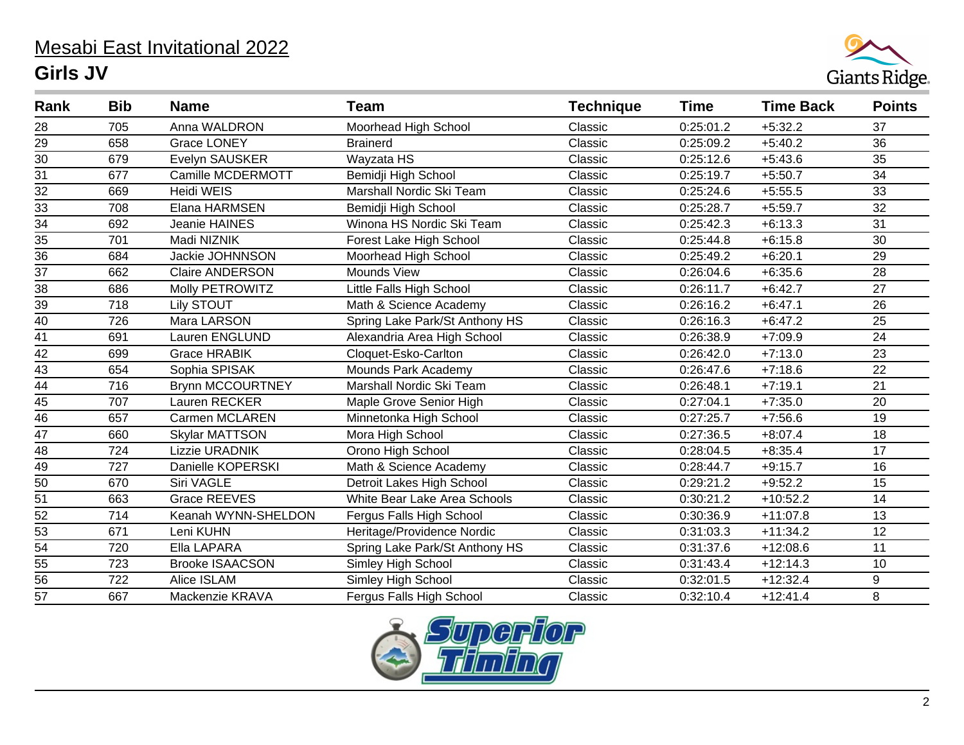## Mesabi East Invitational 2022 **Girls JV**



| Rank            | <b>Bib</b> | <b>Name</b>             | <b>Team</b>                    | <b>Technique</b> | <b>Time</b> | <b>Time Back</b> | <b>Points</b> |
|-----------------|------------|-------------------------|--------------------------------|------------------|-------------|------------------|---------------|
| 28              | 705        | Anna WALDRON            | Moorhead High School           | Classic          | 0:25:01.2   | $+5:32.2$        | 37            |
| 29              | 658        | <b>Grace LONEY</b>      | <b>Brainerd</b>                | Classic          | 0:25:09.2   | $+5:40.2$        | 36            |
| $\overline{30}$ | 679        | Evelyn SAUSKER          | Wayzata HS                     | Classic          | 0:25:12.6   | $+5:43.6$        | 35            |
| $\overline{31}$ | 677        | Camille MCDERMOTT       | Bemidji High School            | Classic          | 0:25:19.7   | $+5:50.7$        | 34            |
| $\overline{32}$ | 669        | <b>Heidi WEIS</b>       | Marshall Nordic Ski Team       | Classic          | 0:25:24.6   | $+5:55.5$        | 33            |
| 33              | 708        | Elana HARMSEN           | Bemidji High School            | Classic          | 0:25:28.7   | $+5:59.7$        | 32            |
| $\overline{34}$ | 692        | Jeanie HAINES           | Winona HS Nordic Ski Team      | Classic          | 0:25:42.3   | $+6:13.3$        | 31            |
| 35              | 701        | Madi NIZNIK             | Forest Lake High School        | Classic          | 0:25:44.8   | $+6:15.8$        | 30            |
| 36              | 684        | Jackie JOHNNSON         | Moorhead High School           | Classic          | 0:25:49.2   | $+6:20.1$        | 29            |
| $\overline{37}$ | 662        | <b>Claire ANDERSON</b>  | Mounds View                    | Classic          | 0:26:04.6   | $+6:35.6$        | 28            |
| 38              | 686        | Molly PETROWITZ         | Little Falls High School       | Classic          | 0:26:11.7   | $+6:42.7$        | 27            |
| 39              | 718        | Lily STOUT              | Math & Science Academy         | Classic          | 0:26:16.2   | $+6:47.1$        | 26            |
| 40              | 726        | Mara LARSON             | Spring Lake Park/St Anthony HS | Classic          | 0:26:16.3   | $+6:47.2$        | 25            |
| 41              | 691        | Lauren ENGLUND          | Alexandria Area High School    | Classic          | 0:26:38.9   | $+7:09.9$        | 24            |
| $\overline{42}$ | 699        | <b>Grace HRABIK</b>     | Cloquet-Esko-Carlton           | Classic          | 0:26:42.0   | $+7:13.0$        | 23            |
| $\overline{43}$ | 654        | Sophia SPISAK           | Mounds Park Academy            | Classic          | 0:26:47.6   | $+7:18.6$        | 22            |
| $\overline{44}$ | 716        | <b>Brynn MCCOURTNEY</b> | Marshall Nordic Ski Team       | Classic          | 0:26:48.1   | $+7:19.1$        | 21            |
| $\overline{45}$ | 707        | Lauren RECKER           | Maple Grove Senior High        | Classic          | 0:27:04.1   | $+7:35.0$        | 20            |
| $\overline{46}$ | 657        | Carmen MCLAREN          | Minnetonka High School         | Classic          | 0:27:25.7   | $+7:56.6$        | 19            |
| $\overline{47}$ | 660        | <b>Skylar MATTSON</b>   | Mora High School               | Classic          | 0:27:36.5   | $+8:07.4$        | 18            |
| $\overline{48}$ | 724        | Lizzie URADNIK          | Orono High School              | Classic          | 0:28:04.5   | $+8:35.4$        | 17            |
| 49              | 727        | Danielle KOPERSKI       | Math & Science Academy         | Classic          | 0:28:44.7   | $+9:15.7$        | 16            |
| $\overline{50}$ | 670        | Siri VAGLE              | Detroit Lakes High School      | Classic          | 0:29:21.2   | $+9:52.2$        | 15            |
| 51              | 663        | <b>Grace REEVES</b>     | White Bear Lake Area Schools   | Classic          | 0:30:21.2   | $+10:52.2$       | 14            |
| $\overline{52}$ | 714        | Keanah WYNN-SHELDON     | Fergus Falls High School       | Classic          | 0:30:36.9   | $+11:07.8$       | 13            |
| 53              | 671        | Leni KUHN               | Heritage/Providence Nordic     | Classic          | 0:31:03.3   | $+11:34.2$       | 12            |
| $\overline{54}$ | 720        | Ella LAPARA             | Spring Lake Park/St Anthony HS | Classic          | 0:31:37.6   | $+12:08.6$       | 11            |
| 55              | 723        | <b>Brooke ISAACSON</b>  | Simley High School             | Classic          | 0:31:43.4   | $+12:14.3$       | 10            |
| $\overline{56}$ | 722        | Alice ISLAM             | Simley High School             | Classic          | 0:32:01.5   | $+12:32.4$       | 9             |
| 57              | 667        | Mackenzie KRAVA         | Fergus Falls High School       | Classic          | 0:32:10.4   | $+12:41.4$       | 8             |